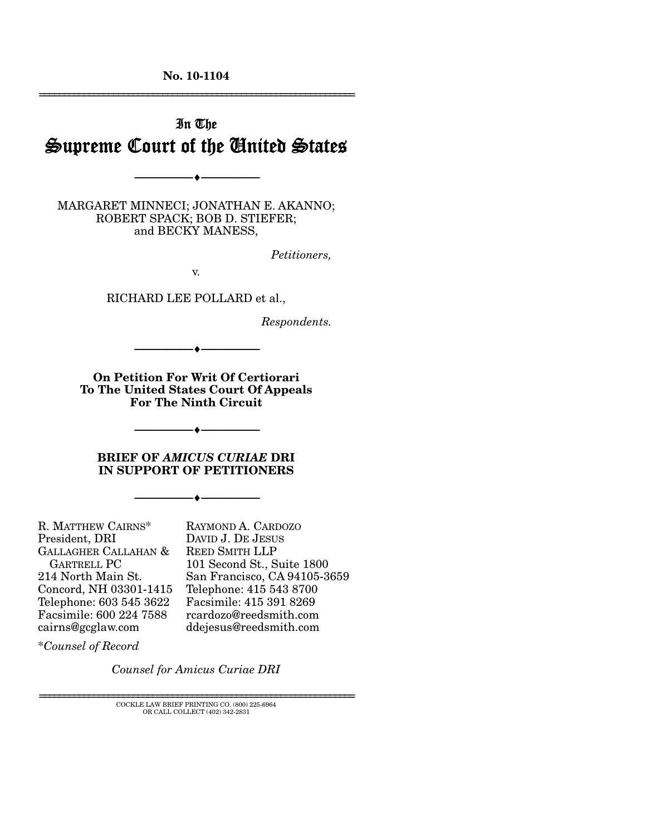**No. 10-1104** 

# In The Supreme Court of the United States

MARGARET MINNECI; JONATHAN E. AKANNO; ROBERT SPACK; BOB D. STIEFER; and BECKY MANESS,

--------------------------------- ♦ ---------------------------------

*Petitioners,* 

================================================================

v.

RICHARD LEE POLLARD et al.,

*Respondents.* 

**On Petition For Writ Of Certiorari To The United States Court Of Appeals For The Ninth Circuit** 

--------------------------------- ♦ ---------------------------------

--------------------------------- ♦ ---------------------------------

#### **BRIEF OF** *AMICUS CURIAE* **DRI IN SUPPORT OF PETITIONERS**

--------------------------------- ♦ ---------------------------------

R. MATTHEW CAIRNS\* President, DRI GALLAGHER CALLAHAN & GARTRELL PC 214 North Main St. Concord, NH 03301-1415 Telephone: 603 545 3622 Facsimile: 600 224 7588 cairns@gcglaw.com

RAYMOND A. CARDOZO DAVID J. DE JESUS REED SMITH LLP 101 Second St., Suite 1800 San Francisco, CA 94105-3659 Telephone: 415 543 8700 Facsimile: 415 391 8269 rcardozo@reedsmith.com ddejesus@reedsmith.com

\**Counsel of Record*

*Counsel for Amicus Curiae DRI*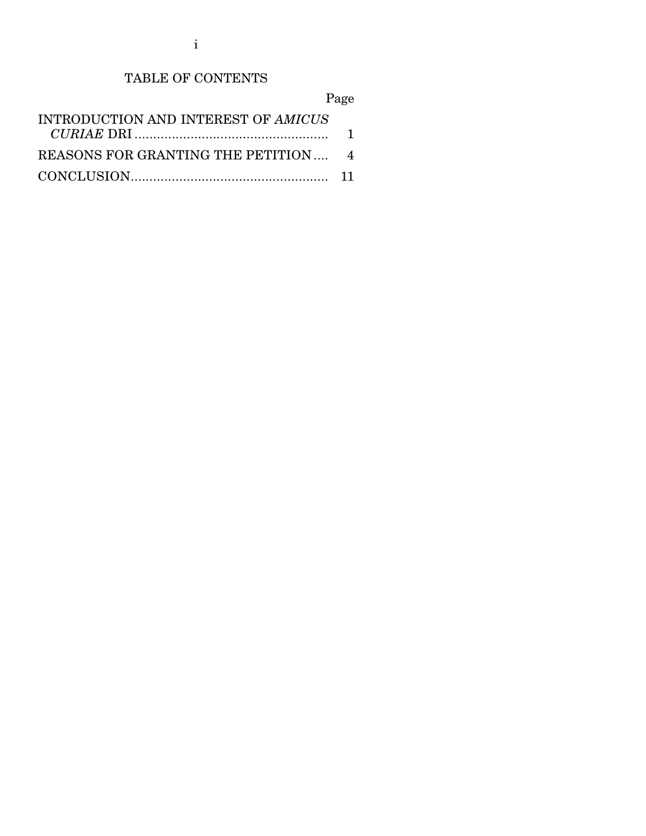i

# TABLE OF CONTENTS

Page

| INTRODUCTION AND INTEREST OF AMICUS |  |
|-------------------------------------|--|
|                                     |  |
| REASONS FOR GRANTING THE PETITION 4 |  |
|                                     |  |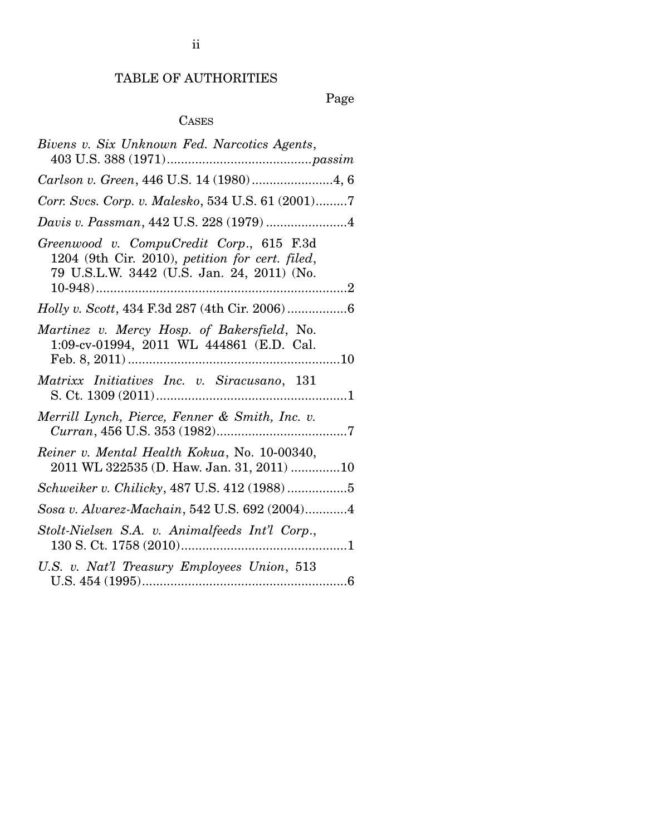# TABLE OF AUTHORITIES

# Page

## CASES

| Bivens v. Six Unknown Fed. Narcotics Agents,                                                                                              |
|-------------------------------------------------------------------------------------------------------------------------------------------|
| Carlson v. Green, 446 U.S. 14 (1980)4, 6                                                                                                  |
| Corr. Svcs. Corp. v. Malesko, 534 U.S. 61 (2001)7                                                                                         |
| Davis v. Passman, 442 U.S. 228 (1979) 4                                                                                                   |
| Greenwood v. CompuCredit Corp., 615 F.3d<br>1204 (9th Cir. 2010), petition for cert. filed,<br>79 U.S.L.W. 3442 (U.S. Jan. 24, 2011) (No. |
|                                                                                                                                           |
| Martinez v. Mercy Hosp. of Bakersfield, No.<br>1:09-cv-01994, 2011 WL 444861 (E.D. Cal.                                                   |
| Matrixx Initiatives Inc. v. Siracusano, 131                                                                                               |
| Merrill Lynch, Pierce, Fenner & Smith, Inc. v.                                                                                            |
| Reiner v. Mental Health Kokua, No. 10-00340,<br>2011 WL 322535 (D. Haw. Jan. 31, 2011) 10                                                 |
| Schweiker v. Chilicky, 487 U.S. 412 (1988)5                                                                                               |
| Sosa v. Alvarez-Machain, 542 U.S. 692 (2004)4                                                                                             |
| Stolt-Nielsen S.A. v. Animalfeeds Int'l Corp.,                                                                                            |
| U.S. v. Nat'l Treasury Employees Union, 513                                                                                               |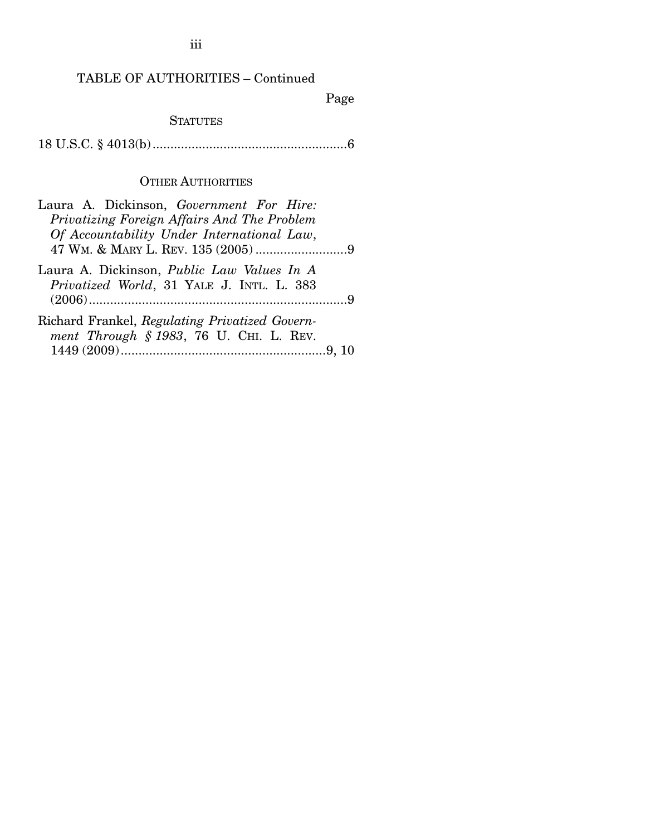TABLE OF AUTHORITIES – Continued

Page

### **STATUTES**

18 U.S.C. § 4013(b) ....................................................... 6

### OTHER AUTHORITIES

| Laura A. Dickinson, Government For Hire:                                                       |  |
|------------------------------------------------------------------------------------------------|--|
| Privatizing Foreign Affairs And The Problem                                                    |  |
| Of Accountability Under International Law,                                                     |  |
|                                                                                                |  |
| Laura A. Dickinson, <i>Public Law Values In A</i><br>Privatized World, 31 YALE J. INTL. L. 383 |  |
|                                                                                                |  |
| Richard Frankel, Regulating Privatized Govern-<br>ment Through § 1983, 76 U. CHI. L. REV.      |  |
|                                                                                                |  |
|                                                                                                |  |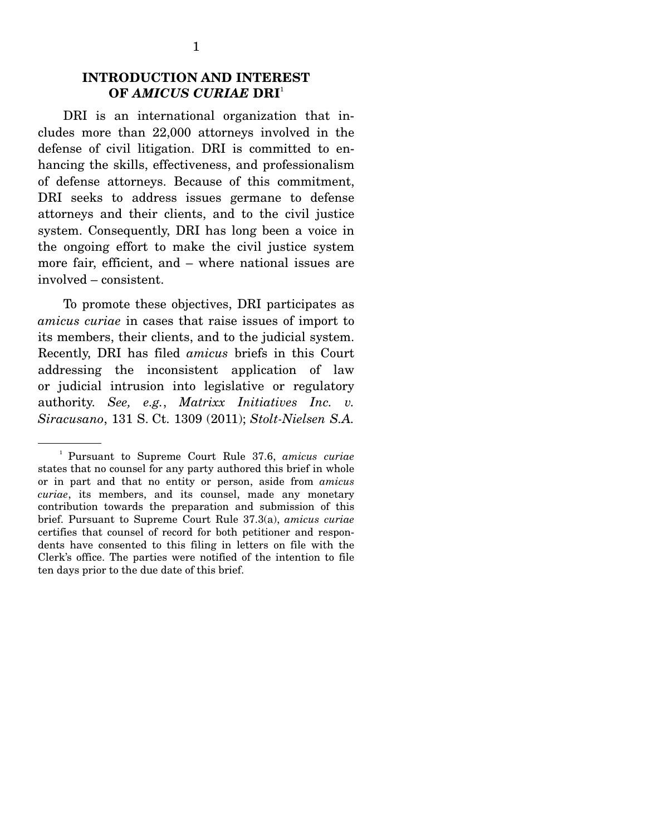### **INTRODUCTION AND INTEREST OF** *AMICUS CURIAE* **DRI**<sup>1</sup>

 DRI is an international organization that includes more than 22,000 attorneys involved in the defense of civil litigation. DRI is committed to enhancing the skills, effectiveness, and professionalism of defense attorneys. Because of this commitment, DRI seeks to address issues germane to defense attorneys and their clients, and to the civil justice system. Consequently, DRI has long been a voice in the ongoing effort to make the civil justice system more fair, efficient, and – where national issues are involved – consistent.

 To promote these objectives, DRI participates as *amicus curiae* in cases that raise issues of import to its members, their clients, and to the judicial system. Recently, DRI has filed *amicus* briefs in this Court addressing the inconsistent application of law or judicial intrusion into legislative or regulatory authority. *See, e.g.*, *Matrixx Initiatives Inc. v. Siracusano*, 131 S. Ct. 1309 (2011); *Stolt-Nielsen S.A.* 

<sup>1</sup> Pursuant to Supreme Court Rule 37.6, *amicus curiae* states that no counsel for any party authored this brief in whole or in part and that no entity or person, aside from *amicus curiae*, its members, and its counsel, made any monetary contribution towards the preparation and submission of this brief. Pursuant to Supreme Court Rule 37.3(a), *amicus curiae* certifies that counsel of record for both petitioner and respondents have consented to this filing in letters on file with the Clerk's office. The parties were notified of the intention to file ten days prior to the due date of this brief.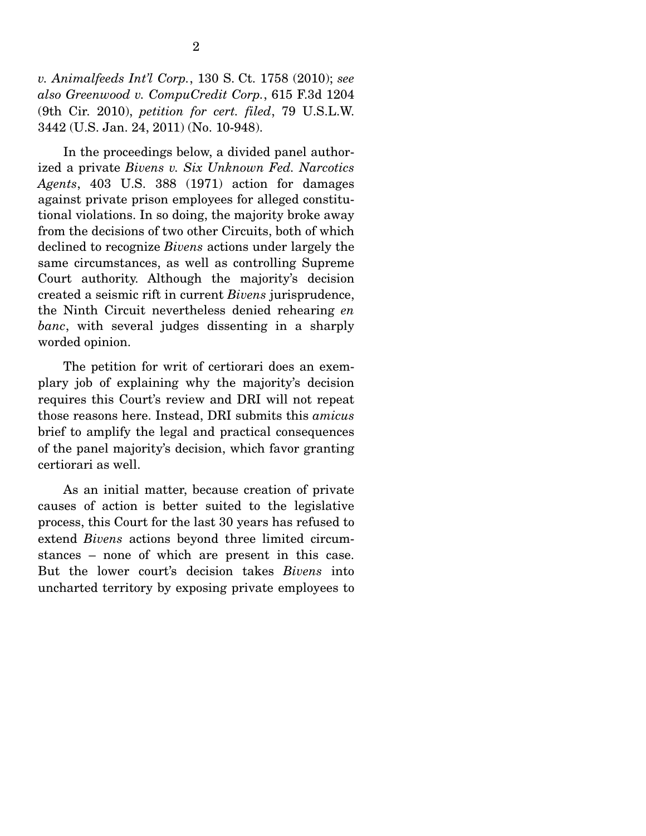*v. Animalfeeds Int'l Corp.*, 130 S. Ct. 1758 (2010); *see also Greenwood v. CompuCredit Corp.*, 615 F.3d 1204 (9th Cir. 2010), *petition for cert. filed*, 79 U.S.L.W. 3442 (U.S. Jan. 24, 2011) (No. 10-948).

In the proceedings below, a divided panel authorized a private *Bivens v. Six Unknown Fed. Narcotics Agents*, 403 U.S. 388 (1971) action for damages against private prison employees for alleged constitutional violations. In so doing, the majority broke away from the decisions of two other Circuits, both of which declined to recognize *Bivens* actions under largely the same circumstances, as well as controlling Supreme Court authority. Although the majority's decision created a seismic rift in current *Bivens* jurisprudence, the Ninth Circuit nevertheless denied rehearing *en banc*, with several judges dissenting in a sharply worded opinion.

 The petition for writ of certiorari does an exemplary job of explaining why the majority's decision requires this Court's review and DRI will not repeat those reasons here. Instead, DRI submits this *amicus*  brief to amplify the legal and practical consequences of the panel majority's decision, which favor granting certiorari as well.

 As an initial matter, because creation of private causes of action is better suited to the legislative process, this Court for the last 30 years has refused to extend *Bivens* actions beyond three limited circumstances – none of which are present in this case. But the lower court's decision takes *Bivens* into uncharted territory by exposing private employees to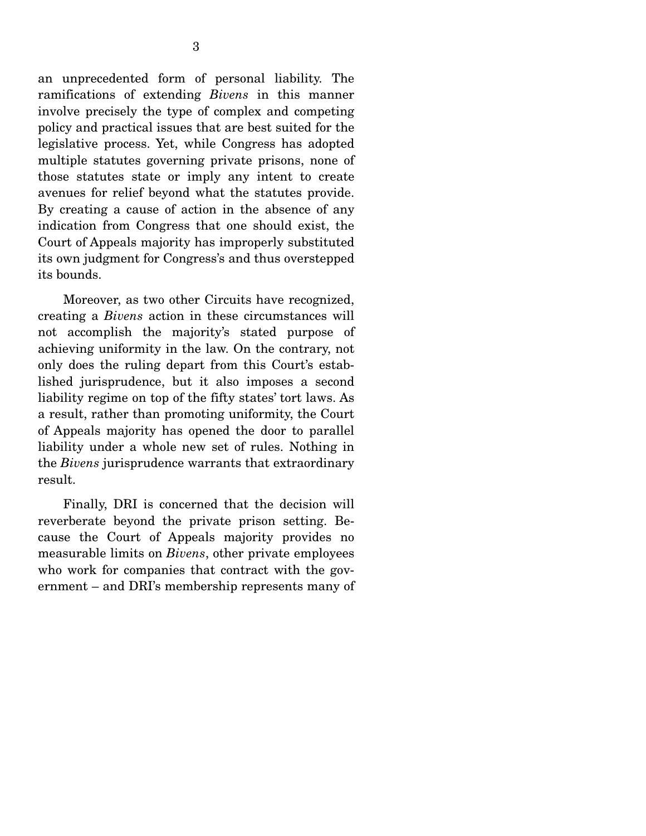an unprecedented form of personal liability. The ramifications of extending *Bivens* in this manner involve precisely the type of complex and competing policy and practical issues that are best suited for the legislative process. Yet, while Congress has adopted multiple statutes governing private prisons, none of those statutes state or imply any intent to create avenues for relief beyond what the statutes provide. By creating a cause of action in the absence of any indication from Congress that one should exist, the Court of Appeals majority has improperly substituted its own judgment for Congress's and thus overstepped its bounds.

 Moreover, as two other Circuits have recognized, creating a *Bivens* action in these circumstances will not accomplish the majority's stated purpose of achieving uniformity in the law. On the contrary, not only does the ruling depart from this Court's established jurisprudence, but it also imposes a second liability regime on top of the fifty states' tort laws. As a result, rather than promoting uniformity, the Court of Appeals majority has opened the door to parallel liability under a whole new set of rules. Nothing in the *Bivens* jurisprudence warrants that extraordinary result.

 Finally, DRI is concerned that the decision will reverberate beyond the private prison setting. Because the Court of Appeals majority provides no measurable limits on *Bivens*, other private employees who work for companies that contract with the government – and DRI's membership represents many of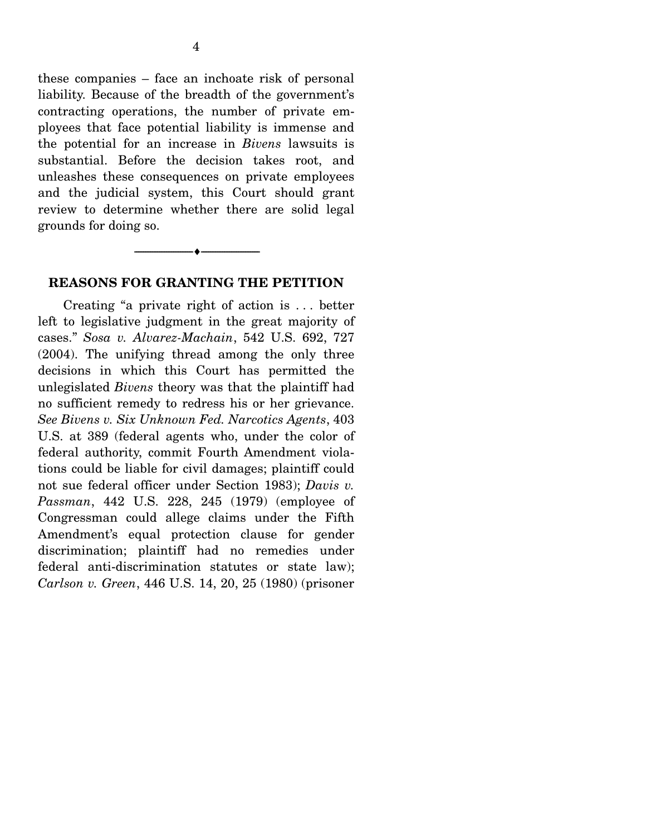these companies – face an inchoate risk of personal liability. Because of the breadth of the government's contracting operations, the number of private employees that face potential liability is immense and the potential for an increase in *Bivens* lawsuits is substantial. Before the decision takes root, and unleashes these consequences on private employees and the judicial system, this Court should grant review to determine whether there are solid legal grounds for doing so.

#### **REASONS FOR GRANTING THE PETITION**

--------------------------------- ♦ ---------------------------------

 Creating "a private right of action is . . . better left to legislative judgment in the great majority of cases." *Sosa v. Alvarez-Machain*, 542 U.S. 692, 727 (2004). The unifying thread among the only three decisions in which this Court has permitted the unlegislated *Bivens* theory was that the plaintiff had no sufficient remedy to redress his or her grievance. *See Bivens v. Six Unknown Fed. Narcotics Agents*, 403 U.S. at 389 (federal agents who, under the color of federal authority, commit Fourth Amendment violations could be liable for civil damages; plaintiff could not sue federal officer under Section 1983); *Davis v. Passman*, 442 U.S. 228, 245 (1979) (employee of Congressman could allege claims under the Fifth Amendment's equal protection clause for gender discrimination; plaintiff had no remedies under federal anti-discrimination statutes or state law); *Carlson v. Green*, 446 U.S. 14, 20, 25 (1980) (prisoner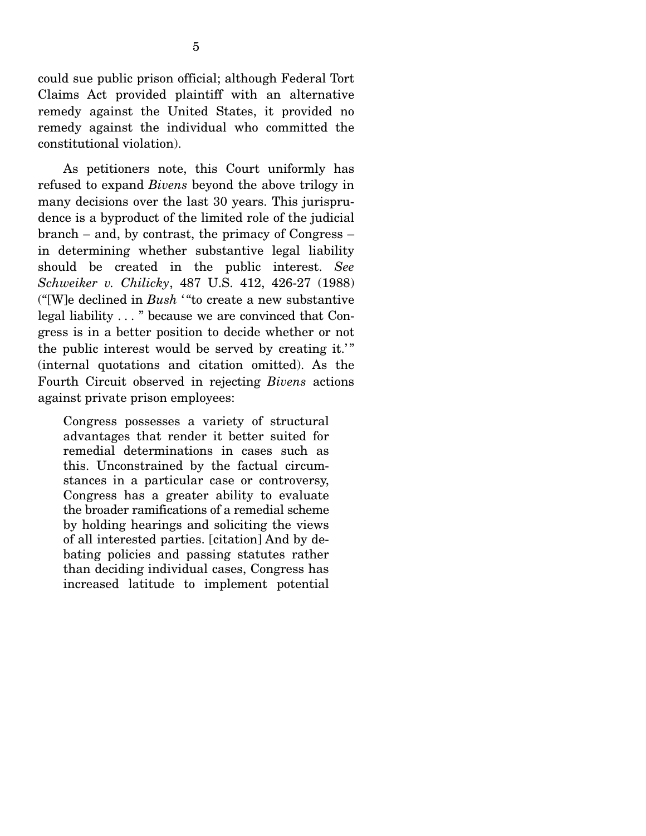could sue public prison official; although Federal Tort Claims Act provided plaintiff with an alternative remedy against the United States, it provided no remedy against the individual who committed the constitutional violation).

 As petitioners note, this Court uniformly has refused to expand *Bivens* beyond the above trilogy in many decisions over the last 30 years. This jurisprudence is a byproduct of the limited role of the judicial branch – and, by contrast, the primacy of Congress – in determining whether substantive legal liability should be created in the public interest. *See Schweiker v. Chilicky*, 487 U.S. 412, 426-27 (1988) ("[W]e declined in *Bush* ' "to create a new substantive legal liability . . . " because we are convinced that Congress is in a better position to decide whether or not the public interest would be served by creating it.'" (internal quotations and citation omitted). As the Fourth Circuit observed in rejecting *Bivens* actions against private prison employees:

Congress possesses a variety of structural advantages that render it better suited for remedial determinations in cases such as this. Unconstrained by the factual circumstances in a particular case or controversy, Congress has a greater ability to evaluate the broader ramifications of a remedial scheme by holding hearings and soliciting the views of all interested parties. [citation] And by debating policies and passing statutes rather than deciding individual cases, Congress has increased latitude to implement potential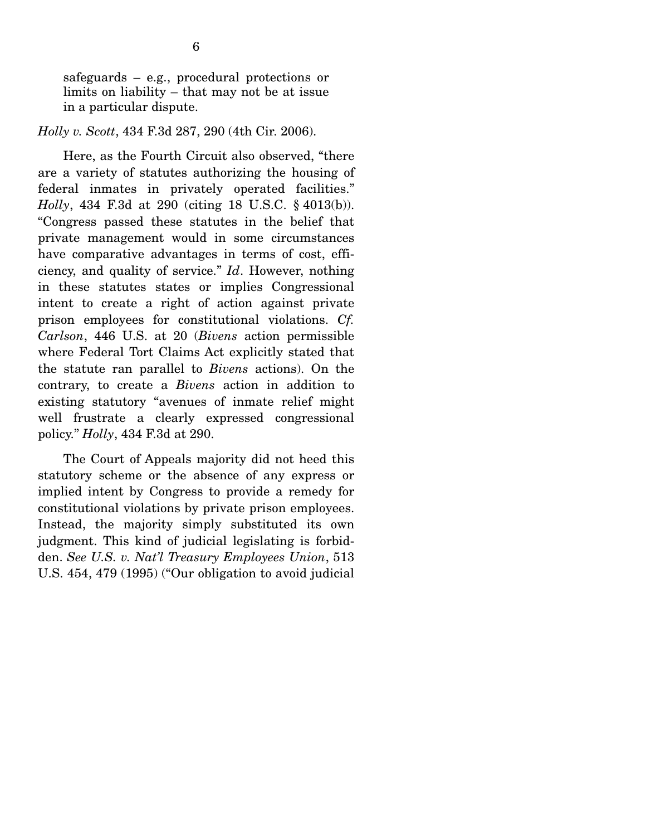safeguards – e.g., procedural protections or limits on liability – that may not be at issue in a particular dispute.

#### *Holly v. Scott*, 434 F.3d 287, 290 (4th Cir. 2006).

 Here, as the Fourth Circuit also observed, "there are a variety of statutes authorizing the housing of federal inmates in privately operated facilities." *Holly*, 434 F.3d at 290 (citing 18 U.S.C. § 4013(b)). "Congress passed these statutes in the belief that private management would in some circumstances have comparative advantages in terms of cost, efficiency, and quality of service." *Id*. However, nothing in these statutes states or implies Congressional intent to create a right of action against private prison employees for constitutional violations. *Cf. Carlson*, 446 U.S. at 20 (*Bivens* action permissible where Federal Tort Claims Act explicitly stated that the statute ran parallel to *Bivens* actions). On the contrary, to create a *Bivens* action in addition to existing statutory "avenues of inmate relief might well frustrate a clearly expressed congressional policy." *Holly*, 434 F.3d at 290.

 The Court of Appeals majority did not heed this statutory scheme or the absence of any express or implied intent by Congress to provide a remedy for constitutional violations by private prison employees. Instead, the majority simply substituted its own judgment. This kind of judicial legislating is forbidden. *See U.S. v. Nat'l Treasury Employees Union*, 513 U.S. 454, 479 (1995) ("Our obligation to avoid judicial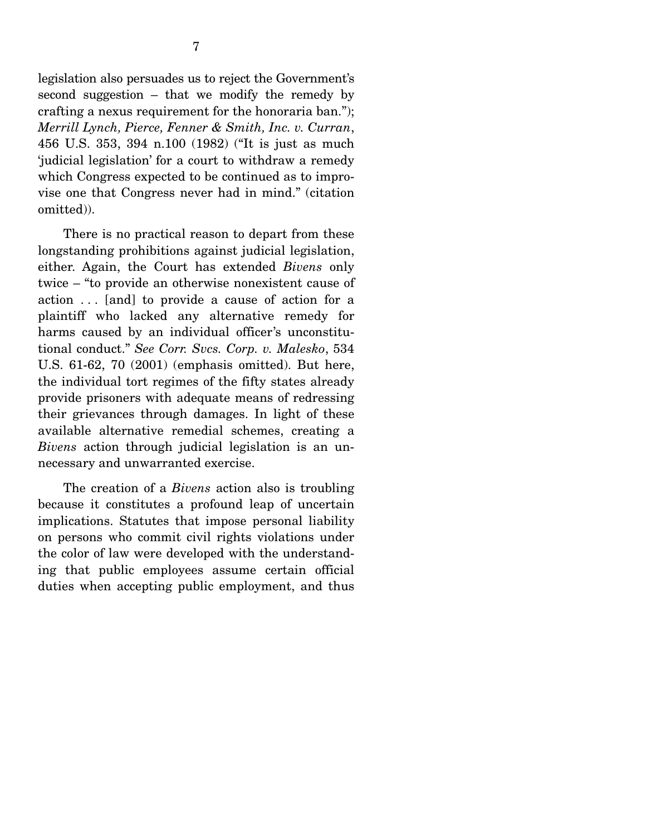legislation also persuades us to reject the Government's second suggestion – that we modify the remedy by crafting a nexus requirement for the honoraria ban."); *Merrill Lynch, Pierce, Fenner & Smith, Inc. v. Curran*, 456 U.S. 353, 394 n.100 (1982) ("It is just as much 'judicial legislation' for a court to withdraw a remedy which Congress expected to be continued as to improvise one that Congress never had in mind." (citation omitted)).

 There is no practical reason to depart from these longstanding prohibitions against judicial legislation, either. Again, the Court has extended *Bivens* only twice – "to provide an otherwise nonexistent cause of action . . . [and] to provide a cause of action for a plaintiff who lacked any alternative remedy for harms caused by an individual officer's unconstitutional conduct." *See Corr. Svcs. Corp. v. Malesko*, 534 U.S. 61-62, 70 (2001) (emphasis omitted). But here, the individual tort regimes of the fifty states already provide prisoners with adequate means of redressing their grievances through damages. In light of these available alternative remedial schemes, creating a *Bivens* action through judicial legislation is an unnecessary and unwarranted exercise.

 The creation of a *Bivens* action also is troubling because it constitutes a profound leap of uncertain implications. Statutes that impose personal liability on persons who commit civil rights violations under the color of law were developed with the understanding that public employees assume certain official duties when accepting public employment, and thus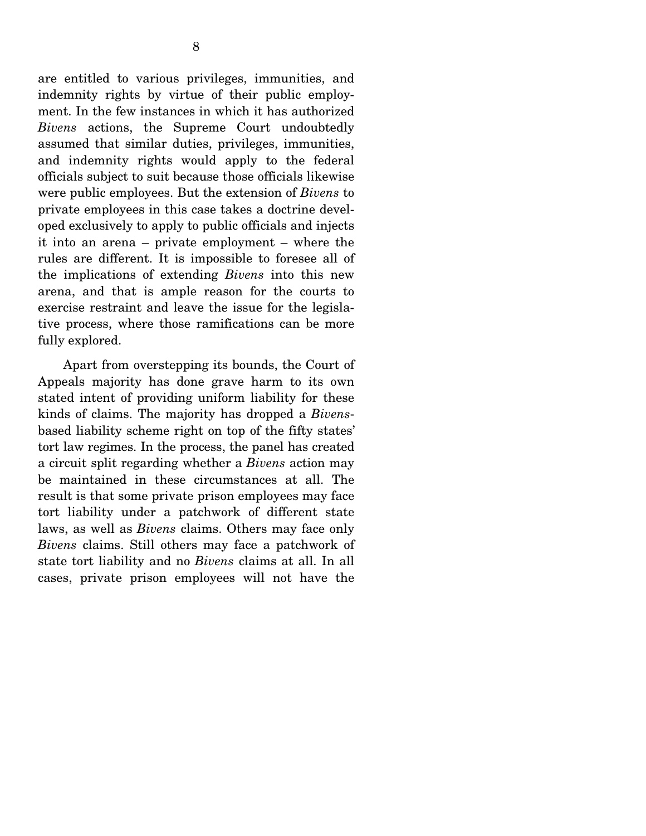are entitled to various privileges, immunities, and indemnity rights by virtue of their public employment. In the few instances in which it has authorized *Bivens* actions, the Supreme Court undoubtedly assumed that similar duties, privileges, immunities, and indemnity rights would apply to the federal officials subject to suit because those officials likewise were public employees. But the extension of *Bivens* to private employees in this case takes a doctrine developed exclusively to apply to public officials and injects it into an arena – private employment – where the rules are different. It is impossible to foresee all of the implications of extending *Bivens* into this new arena, and that is ample reason for the courts to exercise restraint and leave the issue for the legislative process, where those ramifications can be more fully explored.

 Apart from overstepping its bounds, the Court of Appeals majority has done grave harm to its own stated intent of providing uniform liability for these kinds of claims. The majority has dropped a *Bivens*based liability scheme right on top of the fifty states' tort law regimes. In the process, the panel has created a circuit split regarding whether a *Bivens* action may be maintained in these circumstances at all. The result is that some private prison employees may face tort liability under a patchwork of different state laws, as well as *Bivens* claims. Others may face only *Bivens* claims. Still others may face a patchwork of state tort liability and no *Bivens* claims at all. In all cases, private prison employees will not have the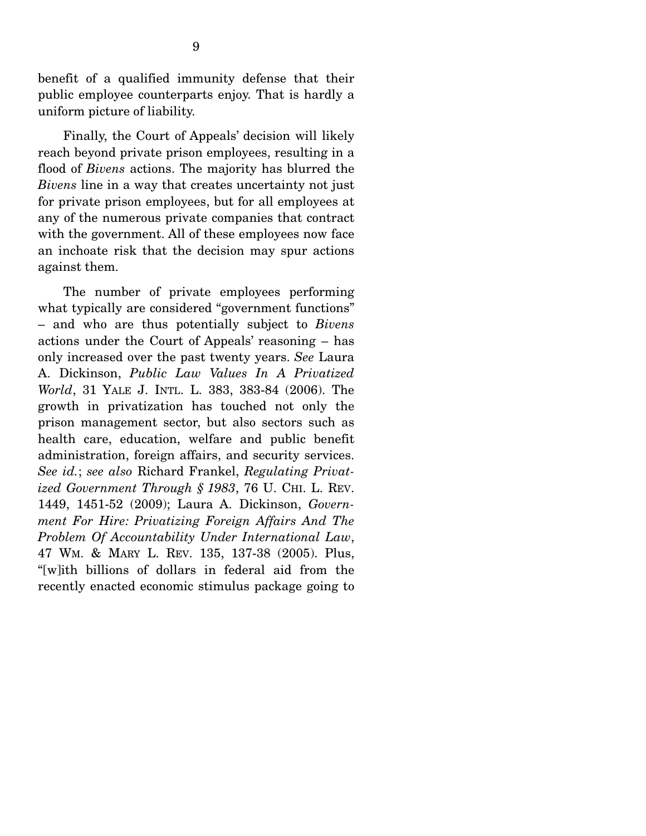benefit of a qualified immunity defense that their public employee counterparts enjoy. That is hardly a uniform picture of liability.

 Finally, the Court of Appeals' decision will likely reach beyond private prison employees, resulting in a flood of *Bivens* actions. The majority has blurred the *Bivens* line in a way that creates uncertainty not just for private prison employees, but for all employees at any of the numerous private companies that contract with the government. All of these employees now face an inchoate risk that the decision may spur actions against them.

 The number of private employees performing what typically are considered "government functions" – and who are thus potentially subject to *Bivens* actions under the Court of Appeals' reasoning – has only increased over the past twenty years. *See* Laura A. Dickinson, *Public Law Values In A Privatized World*, 31 YALE J. INTL. L. 383, 383-84 (2006). The growth in privatization has touched not only the prison management sector, but also sectors such as health care, education, welfare and public benefit administration, foreign affairs, and security services. *See id.*; *see also* Richard Frankel, *Regulating Privatized Government Through § 1983*, 76 U. CHI. L. REV. 1449, 1451-52 (2009); Laura A. Dickinson, *Government For Hire: Privatizing Foreign Affairs And The Problem Of Accountability Under International Law*, 47 WM. & MARY L. REV. 135, 137-38 (2005). Plus, "[w]ith billions of dollars in federal aid from the recently enacted economic stimulus package going to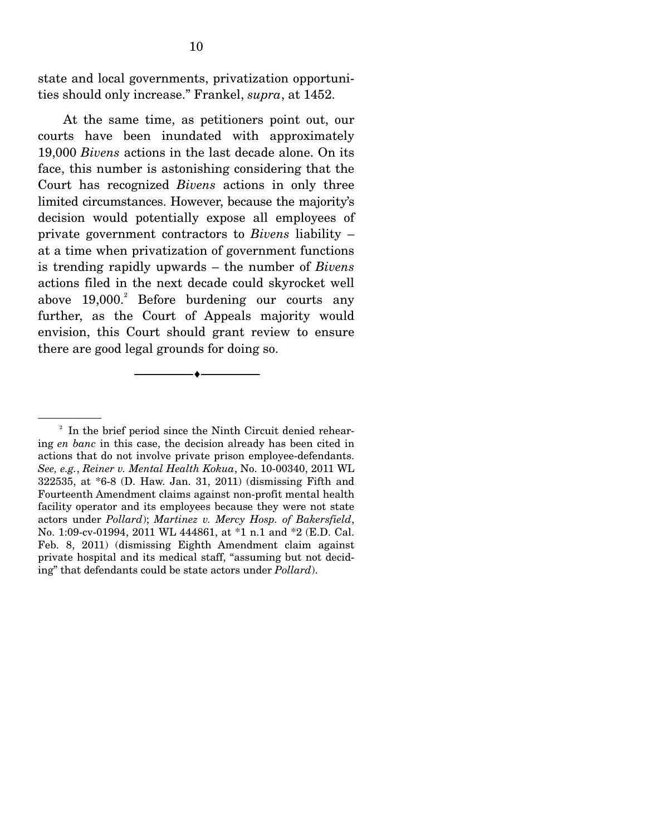state and local governments, privatization opportunities should only increase." Frankel, *supra*, at 1452.

 At the same time, as petitioners point out, our courts have been inundated with approximately 19,000 *Bivens* actions in the last decade alone. On its face, this number is astonishing considering that the Court has recognized *Bivens* actions in only three limited circumstances. However, because the majority's decision would potentially expose all employees of private government contractors to *Bivens* liability – at a time when privatization of government functions is trending rapidly upwards – the number of *Bivens* actions filed in the next decade could skyrocket well above 19,000.<sup>2</sup> Before burdening our courts any further, as the Court of Appeals majority would envision, this Court should grant review to ensure there are good legal grounds for doing so.

--------------------------------- ♦ ---------------------------------

<sup>&</sup>lt;sup>2</sup> In the brief period since the Ninth Circuit denied rehearing *en banc* in this case, the decision already has been cited in actions that do not involve private prison employee-defendants. *See, e.g.*, *Reiner v. Mental Health Kokua*, No. 10-00340, 2011 WL 322535, at \*6-8 (D. Haw. Jan. 31, 2011) (dismissing Fifth and Fourteenth Amendment claims against non-profit mental health facility operator and its employees because they were not state actors under *Pollard*); *Martinez v. Mercy Hosp. of Bakersfield*, No. 1:09-cv-01994, 2011 WL 444861, at \*1 n.1 and \*2 (E.D. Cal. Feb. 8, 2011) (dismissing Eighth Amendment claim against private hospital and its medical staff, "assuming but not deciding" that defendants could be state actors under *Pollard*).